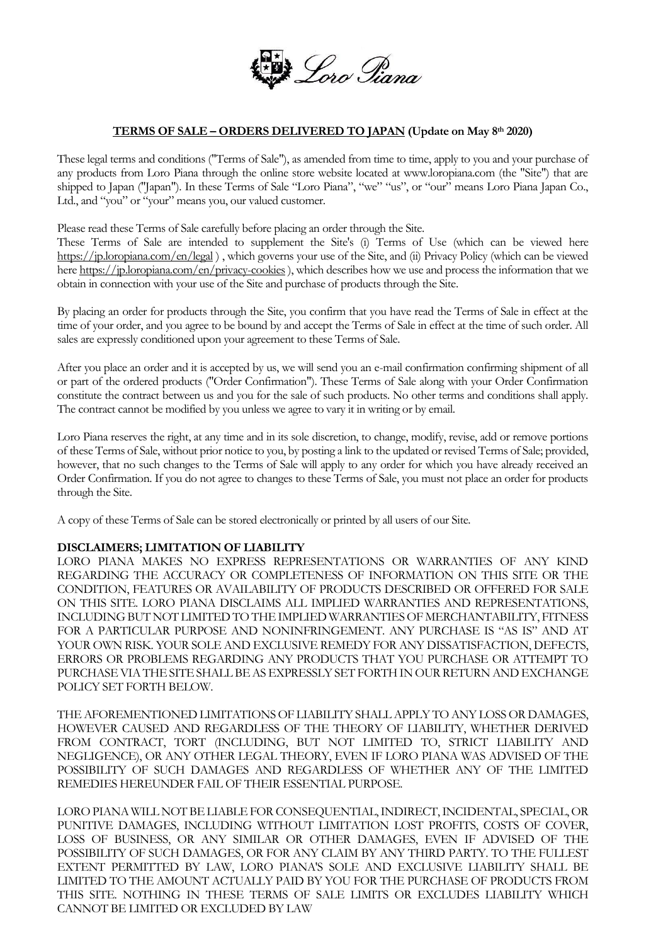

## **TERMS OF SALE – ORDERS DELIVERED TO JAPAN (Update on May 8th 2020)**

These legal terms and conditions ("Terms of Sale"), as amended from time to time, apply to you and your purchase of any products from Loro Piana through the online store website located at www.loropiana.com (the "Site") that are shipped to Japan ("Japan"). In these Terms of Sale "Loro Piana", "we" "us", or "our" means Loro Piana Japan Co., Ltd., and "you" or "your" means you, our valued customer.

Please read these Terms of Sale carefully before placing an order through the Site.

These Terms of Sale are intended to supplement the Site's (i) Terms of Use (which can be viewed here <https://jp.loropiana.com/en/legal> ) , which governs your use of the Site, and (ii) Privacy Policy (which can be viewed here <https://jp.loropiana.com/en/privacy-cookies>), which describes how we use and process the information that we obtain in connection with your use of the Site and purchase of products through the Site.

By placing an order for products through the Site, you confirm that you have read the Terms of Sale in effect at the time of your order, and you agree to be bound by and accept the Terms of Sale in effect at the time of such order. All sales are expressly conditioned upon your agreement to these Terms of Sale.

After you place an order and it is accepted by us, we will send you an e-mail confirmation confirming shipment of all or part of the ordered products ("Order Confirmation"). These Terms of Sale along with your Order Confirmation constitute the contract between us and you for the sale of such products. No other terms and conditions shall apply. The contract cannot be modified by you unless we agree to vary it in writing or by email.

Loro Piana reserves the right, at any time and in its sole discretion, to change, modify, revise, add or remove portions of these Terms of Sale, without prior notice to you, by posting a link to the updated or revised Terms of Sale; provided, however, that no such changes to the Terms of Sale will apply to any order for which you have already received an Order Confirmation. If you do not agree to changes to these Terms of Sale, you must not place an order for products through the Site.

A copy of these Terms of Sale can be stored electronically or printed by all users of our Site.

## **DISCLAIMERS; LIMITATION OF LIABILITY**

LORO PIANA MAKES NO EXPRESS REPRESENTATIONS OR WARRANTIES OF ANY KIND REGARDING THE ACCURACY OR COMPLETENESS OF INFORMATION ON THIS SITE OR THE CONDITION, FEATURES OR AVAILABILITY OF PRODUCTS DESCRIBED OR OFFERED FOR SALE ON THIS SITE. LORO PIANA DISCLAIMS ALL IMPLIED WARRANTIES AND REPRESENTATIONS, INCLUDING BUT NOT LIMITED TO THE IMPLIED WARRANTIES OF MERCHANTABILITY, FITNESS FOR A PARTICULAR PURPOSE AND NONINFRINGEMENT. ANY PURCHASE IS "AS IS" AND AT YOUR OWN RISK. YOUR SOLE AND EXCLUSIVE REMEDY FOR ANY DISSATISFACTION, DEFECTS, ERRORS OR PROBLEMS REGARDING ANY PRODUCTS THAT YOU PURCHASE OR ATTEMPT TO PURCHASE VIA THE SITE SHALL BE AS EXPRESSLY SET FORTH IN OUR RETURN AND EXCHANGE POLICY SET FORTH BELOW.

THE AFOREMENTIONED LIMITATIONS OF LIABILITY SHALL APPLY TO ANY LOSS OR DAMAGES, HOWEVER CAUSED AND REGARDLESS OF THE THEORY OF LIABILITY, WHETHER DERIVED FROM CONTRACT, TORT (INCLUDING, BUT NOT LIMITED TO, STRICT LIABILITY AND NEGLIGENCE), OR ANY OTHER LEGAL THEORY, EVEN IF LORO PIANA WAS ADVISED OF THE POSSIBILITY OF SUCH DAMAGES AND REGARDLESS OF WHETHER ANY OF THE LIMITED REMEDIES HEREUNDER FAIL OF THEIR ESSENTIAL PURPOSE.

LORO PIANA WILL NOT BE LIABLE FOR CONSEQUENTIAL, INDIRECT, INCIDENTAL, SPECIAL, OR PUNITIVE DAMAGES, INCLUDING WITHOUT LIMITATION LOST PROFITS, COSTS OF COVER, LOSS OF BUSINESS, OR ANY SIMILAR OR OTHER DAMAGES, EVEN IF ADVISED OF THE POSSIBILITY OF SUCH DAMAGES, OR FOR ANY CLAIM BY ANY THIRD PARTY. TO THE FULLEST EXTENT PERMITTED BY LAW, LORO PIANA'S SOLE AND EXCLUSIVE LIABILITY SHALL BE LIMITED TO THE AMOUNT ACTUALLY PAID BY YOU FOR THE PURCHASE OF PRODUCTS FROM THIS SITE. NOTHING IN THESE TERMS OF SALE LIMITS OR EXCLUDES LIABILITY WHICH CANNOT BE LIMITED OR EXCLUDED BY LAW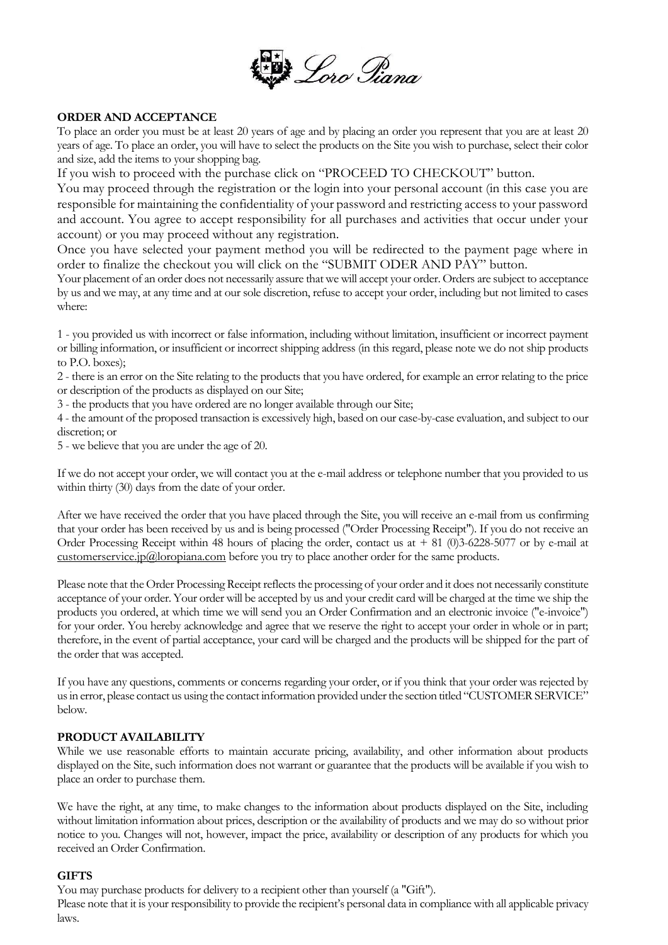

# **ORDER AND ACCEPTANCE**

To place an order you must be at least 20 years of age and by placing an order you represent that you are at least 20 years of age. To place an order, you will have to select the products on the Site you wish to purchase, select their color and size, add the items to your shopping bag.

If you wish to proceed with the purchase click on "PROCEED TO CHECKOUT" button.

You may proceed through the registration or the login into your personal account (in this case you are responsible for maintaining the confidentiality of your password and restricting access to your password and account. You agree to accept responsibility for all purchases and activities that occur under your account) or you may proceed without any registration.

Once you have selected your payment method you will be redirected to the payment page where in order to finalize the checkout you will click on the "SUBMIT ODER AND PAY" button.

Your placement of an order does not necessarily assure that we will accept your order. Orders are subject to acceptance by us and we may, at any time and at our sole discretion, refuse to accept your order, including but not limited to cases where:

1 - you provided us with incorrect or false information, including without limitation, insufficient or incorrect payment or billing information, or insufficient or incorrect shipping address (in this regard, please note we do not ship products to P.O. boxes);

2 - there is an error on the Site relating to the products that you have ordered, for example an error relating to the price or description of the products as displayed on our Site;

3 - the products that you have ordered are no longer available through our Site;

4 - the amount of the proposed transaction is excessively high, based on our case-by-case evaluation, and subject to our discretion; or

5 - we believe that you are under the age of 20.

If we do not accept your order, we will contact you at the e-mail address or telephone number that you provided to us within thirty (30) days from the date of your order.

After we have received the order that you have placed through the Site, you will receive an e-mail from us confirming that your order has been received by us and is being processed ("Order Processing Receipt"). If you do not receive an Order Processing Receipt within 48 hours of placing the order, contact us at  $+ 81$  (0)3-6228-5077 or by e-mail at  $\frac{\text{customer} service}{\text{ip}(a)}$  loropiana.com before you try to place another order for the same products.

Please note that the Order Processing Receipt reflects the processing of your order and it does not necessarily constitute acceptance of your order. Your order will be accepted by us and your credit card will be charged at the time we ship the products you ordered, at which time we will send you an Order Confirmation and an electronic invoice ("e-invoice") for your order. You hereby acknowledge and agree that we reserve the right to accept your order in whole or in part; therefore, in the event of partial acceptance, your card will be charged and the products will be shipped for the part of the order that was accepted.

If you have any questions, comments or concerns regarding your order, or if you think that your order was rejected by us in error, please contact us using the contact information provided under the section titled "CUSTOMER SERVICE" below.

## **PRODUCT AVAILABILITY**

While we use reasonable efforts to maintain accurate pricing, availability, and other information about products displayed on the Site, such information does not warrant or guarantee that the products will be available if you wish to place an order to purchase them.

We have the right, at any time, to make changes to the information about products displayed on the Site, including without limitation information about prices, description or the availability of products and we may do so without prior notice to you. Changes will not, however, impact the price, availability or description of any products for which you received an Order Confirmation.

## **GIFTS**

You may purchase products for delivery to a recipient other than yourself (a "Gift").

Please note that it is your responsibility to provide the recipient's personal data in compliance with all applicable privacy laws.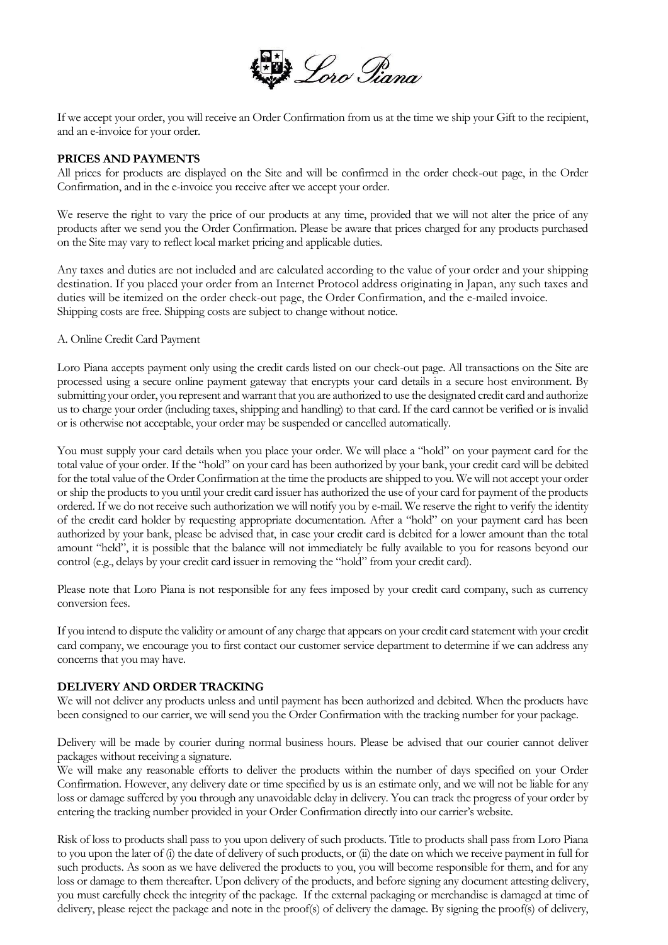

If we accept your order, you will receive an Order Confirmation from us at the time we ship your Gift to the recipient, and an e-invoice for your order.

# **PRICES AND PAYMENTS**

All prices for products are displayed on the Site and will be confirmed in the order check-out page, in the Order Confirmation, and in the e-invoice you receive after we accept your order.

We reserve the right to vary the price of our products at any time, provided that we will not alter the price of any products after we send you the Order Confirmation. Please be aware that prices charged for any products purchased on the Site may vary to reflect local market pricing and applicable duties.

Any taxes and duties are not included and are calculated according to the value of your order and your shipping destination. If you placed your order from an Internet Protocol address originating in Japan, any such taxes and duties will be itemized on the order check-out page, the Order Confirmation, and the e-mailed invoice. Shipping costs are free. Shipping costs are subject to change without notice.

A. Online Credit Card Payment

Loro Piana accepts payment only using the credit cards listed on our check-out page. All transactions on the Site are processed using a secure online payment gateway that encrypts your card details in a secure host environment. By submitting your order, you represent and warrant that you are authorized to use the designated credit card and authorize us to charge your order (including taxes, shipping and handling) to that card. If the card cannot be verified or is invalid or is otherwise not acceptable, your order may be suspended or cancelled automatically.

You must supply your card details when you place your order. We will place a "hold" on your payment card for the total value of your order. If the "hold" on your card has been authorized by your bank, your credit card will be debited for the total value of the Order Confirmation at the time the products are shipped to you. We will not accept your order or ship the products to you until your credit card issuer has authorized the use of your card for payment of the products ordered. If we do not receive such authorization we will notify you by e-mail. We reserve the right to verify the identity of the credit card holder by requesting appropriate documentation. After a "hold" on your payment card has been authorized by your bank, please be advised that, in case your credit card is debited for a lower amount than the total amount "held", it is possible that the balance will not immediately be fully available to you for reasons beyond our control (e.g., delays by your credit card issuer in removing the "hold" from your credit card).

Please note that Loro Piana is not responsible for any fees imposed by your credit card company, such as currency conversion fees.

If you intend to dispute the validity or amount of any charge that appears on your credit card statement with your credit card company, we encourage you to first contact our customer service department to determine if we can address any concerns that you may have.

## **DELIVERY AND ORDER TRACKING**

We will not deliver any products unless and until payment has been authorized and debited. When the products have been consigned to our carrier, we will send you the Order Confirmation with the tracking number for your package.

Delivery will be made by courier during normal business hours. Please be advised that our courier cannot deliver packages without receiving a signature.

We will make any reasonable efforts to deliver the products within the number of days specified on your Order Confirmation. However, any delivery date or time specified by us is an estimate only, and we will not be liable for any loss or damage suffered by you through any unavoidable delay in delivery. You can track the progress of your order by entering the tracking number provided in your Order Confirmation directly into our carrier's website.

Risk of loss to products shall pass to you upon delivery of such products. Title to products shall pass from Loro Piana to you upon the later of (i) the date of delivery of such products, or (ii) the date on which we receive payment in full for such products. As soon as we have delivered the products to you, you will become responsible for them, and for any loss or damage to them thereafter. Upon delivery of the products, and before signing any document attesting delivery, you must carefully check the integrity of the package. If the external packaging or merchandise is damaged at time of delivery, please reject the package and note in the proof(s) of delivery the damage. By signing the proof(s) of delivery,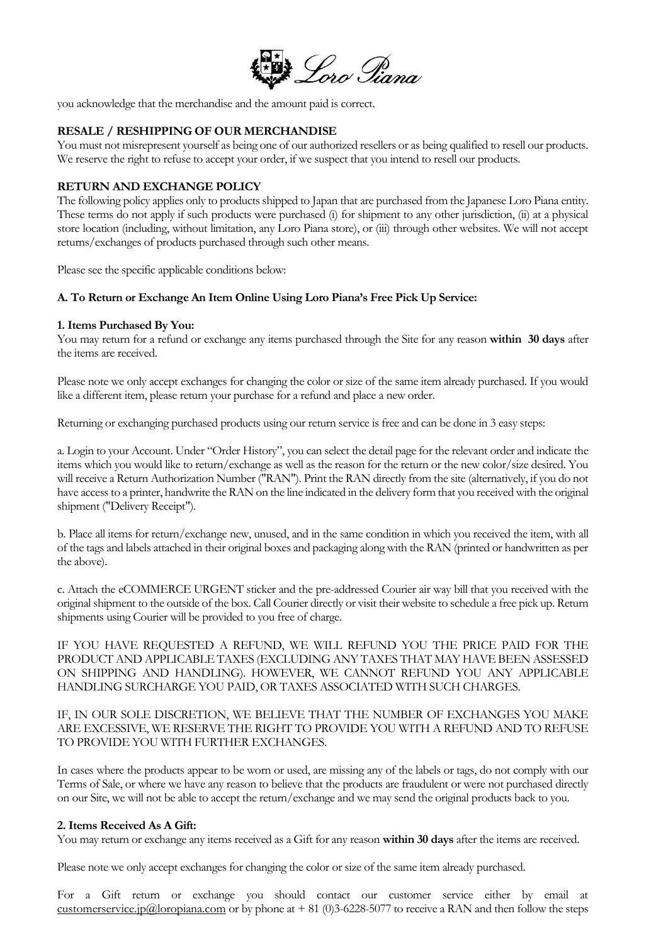

you acknowledge that the merchandise and the amount paid is correct.

### **RESALE / RESHIPPING OF OUR MERCHANDISE**

You must not misrepresent yourself as being one of our authorized resellers or as being qualified to resell our products. We reserve the right to refuse to accept your order, if we suspect that you intend to resell our products.

### **RETURN AND EXCHANGE POLICY**

The following policy applies only to products shipped to Japan that are purchased from the Japanese Loro Piana entity. These terms do not apply if such products were purchased (i) for shipment to any other jurisdiction, (ii) at a physical store location (including, without limitation, any Loro Piana store), or (iii) through other websites. We will not accept returns/exchanges of products purchased through such other means.

Please see the specific applicable conditions below:

#### **A. To Return or Exchange An Item Online Using Loro Piana's Free Pick Up Service:**

#### **1. Items Purchased By You:**

You may return for a refund or exchange any items purchased through the Site for any reason **within 30 days** after the items are received.

Please note we only accept exchanges for changing the color or size of the same item already purchased. If you would like a different item, please return your purchase for a refund and place a new order.

Returning or exchanging purchased products using our return service is free and can be done in 3 easy steps:

a. Login to your Account. Under "Order History", you can select the detail page for the relevant order and indicate the items which you would like to return/exchange as well as the reason for the return or the new color/size desired. You will receive a Return Authorization Number ("RAN"). Print the RAN directly from the site (alternatively, if you do not have access to a printer, handwrite the RAN on the line indicated in the delivery form that you received with the original shipment ("Delivery Receipt").

b. Place all items for return/exchange new, unused, and in the same condition in which you received the item, with all of the tags and labels attached in their original boxes and packaging along with the RAN (printed or handwritten as per the above).

c. Attach the eCOMMERCE URGENT sticker and the pre-addressed Courier air way bill that you received with the original shipment to the outside of the box. Call Courier directly or visit their website to schedule a free pick up. Return shipments using Courier will be provided to you free of charge.

IF YOU HAVE REQUESTED A REFUND, WE WILL REFUND YOU THE PRICE PAID FOR THE PRODUCT AND APPLICABLE TAXES (EXCLUDING ANY TAXES THAT MAY HAVE BEEN ASSESSED ON SHIPPING AND HANDLING). HOWEVER, WE CANNOT REFUND YOU ANY APPLICABLE HANDLING SURCHARGE YOU PAID, OR TAXES ASSOCIATED WITH SUCH CHARGES.

IF, IN OUR SOLE DISCRETION, WE BELIEVE THAT THE NUMBER OF EXCHANGES YOU MAKE ARE EXCESSIVE, WE RESERVE THE RIGHT TO PROVIDE YOU WITH A REFUND AND TO REFUSE TO PROVIDE YOU WITH FURTHER EXCHANGES.

In cases where the products appear to be worn or used, are missing any of the labels or tags, do not comply with our Terms of Sale, or where we have any reason to believe that the products are fraudulent or were not purchased directly on our Site, we will not be able to accept the return/exchange and we may send the original products back to you.

#### **2. Items Received As A Gift:**

You may return or exchange any items received as a Gift for any reason **within 30 days** after the items are received.

Please note we only accept exchanges for changing the color or size of the same item already purchased.

For a Gift return or exchange you should contact our customer service either by email at [customerservice.jp@loropiana.com](mailto:customerservice.jp@loropiana.com) or by phone at  $+ 81$  (0)3-6228-5077 to receive a RAN and then follow the steps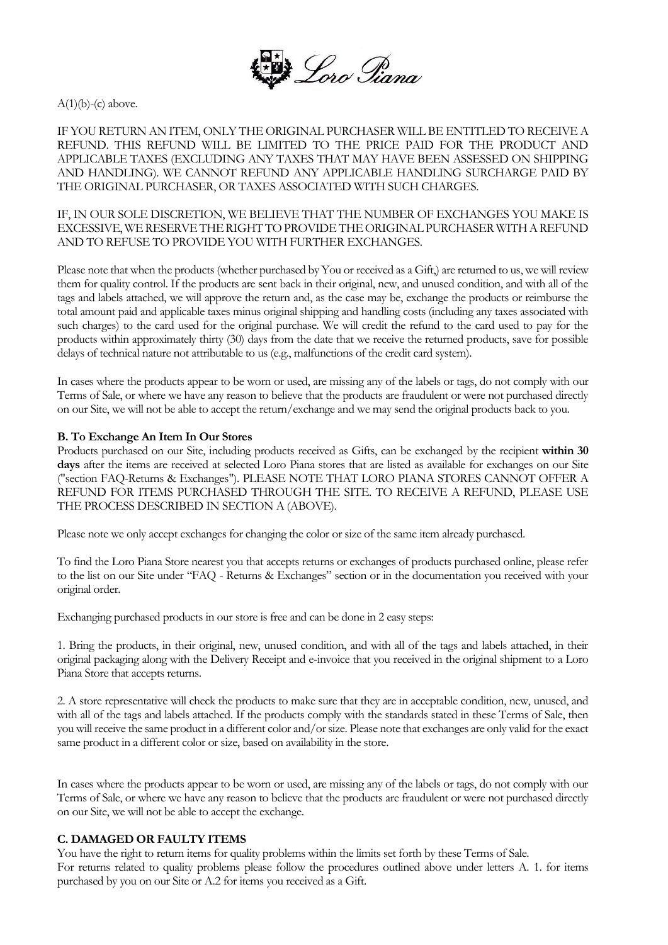

 $A(1)(b)-(c)$  above.

IF YOU RETURN AN ITEM, ONLY THE ORIGINAL PURCHASER WILL BE ENTITLED TO RECEIVE A REFUND. THIS REFUND WILL BE LIMITED TO THE PRICE PAID FOR THE PRODUCT AND APPLICABLE TAXES (EXCLUDING ANY TAXES THAT MAY HAVE BEEN ASSESSED ON SHIPPING AND HANDLING). WE CANNOT REFUND ANY APPLICABLE HANDLING SURCHARGE PAID BY THE ORIGINAL PURCHASER, OR TAXES ASSOCIATED WITH SUCH CHARGES.

IF, IN OUR SOLE DISCRETION, WE BELIEVE THAT THE NUMBER OF EXCHANGES YOU MAKE IS EXCESSIVE, WE RESERVE THE RIGHT TO PROVIDE THE ORIGINAL PURCHASER WITH A REFUND AND TO REFUSE TO PROVIDE YOU WITH FURTHER EXCHANGES.

Please note that when the products (whether purchased by You or received as a Gift,) are returned to us, we will review them for quality control. If the products are sent back in their original, new, and unused condition, and with all of the tags and labels attached, we will approve the return and, as the case may be, exchange the products or reimburse the total amount paid and applicable taxes minus original shipping and handling costs (including any taxes associated with such charges) to the card used for the original purchase. We will credit the refund to the card used to pay for the products within approximately thirty (30) days from the date that we receive the returned products, save for possible delays of technical nature not attributable to us (e.g., malfunctions of the credit card system).

In cases where the products appear to be worn or used, are missing any of the labels or tags, do not comply with our Terms of Sale, or where we have any reason to believe that the products are fraudulent or were not purchased directly on our Site, we will not be able to accept the return/exchange and we may send the original products back to you.

### **B. To Exchange An Item In Our Stores**

Products purchased on our Site, including products received as Gifts, can be exchanged by the recipient **within 30 days** after the items are received at selected Loro Piana stores that are listed as available for exchanges on our Site ("section FAQ-Returns & Exchanges"). PLEASE NOTE THAT LORO PIANA STORES CANNOT OFFER A REFUND FOR ITEMS PURCHASED THROUGH THE SITE. TO RECEIVE A REFUND, PLEASE USE THE PROCESS DESCRIBED IN SECTION A (ABOVE).

Please note we only accept exchanges for changing the color or size of the same item already purchased.

To find the Loro Piana Store nearest you that accepts returns or exchanges of products purchased online, please refer to the list on our Site under "FAQ - Returns & Exchanges" section or in the documentation you received with your original order.

Exchanging purchased products in our store is free and can be done in 2 easy steps:

1. Bring the products, in their original, new, unused condition, and with all of the tags and labels attached, in their original packaging along with the Delivery Receipt and e-invoice that you received in the original shipment to a Loro Piana Store that accepts returns.

2. A store representative will check the products to make sure that they are in acceptable condition, new, unused, and with all of the tags and labels attached. If the products comply with the standards stated in these Terms of Sale, then you will receive the same product in a different color and/or size. Please note that exchanges are only valid for the exact same product in a different color or size, based on availability in the store.

In cases where the products appear to be worn or used, are missing any of the labels or tags, do not comply with our Terms of Sale, or where we have any reason to believe that the products are fraudulent or were not purchased directly on our Site, we will not be able to accept the exchange.

## **C. DAMAGED OR FAULTY ITEMS**

You have the right to return items for quality problems within the limits set forth by these Terms of Sale. For returns related to quality problems please follow the procedures outlined above under letters A. 1. for items purchased by you on our Site or A.2 for items you received as a Gift.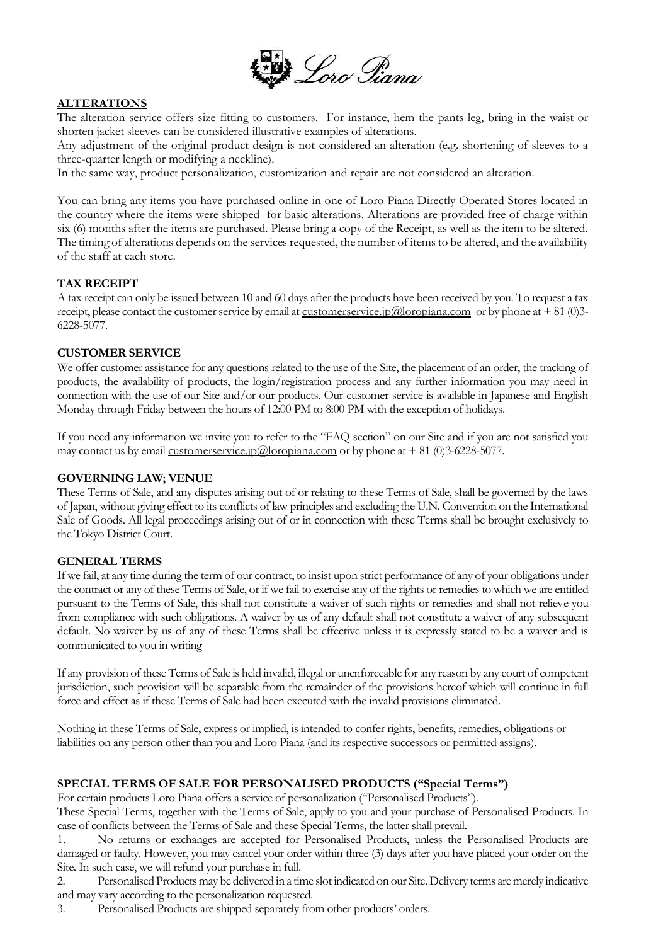

# **ALTERATIONS**

The alteration service offers size fitting to customers. For instance, hem the pants leg, bring in the waist or shorten jacket sleeves can be considered illustrative examples of alterations.

Any adjustment of the original product design is not considered an alteration (e.g. shortening of sleeves to a three-quarter length or modifying a neckline).

In the same way, product personalization, customization and repair are not considered an alteration.

You can bring any items you have purchased online in one of Loro Piana Directly Operated Stores located in the country where the items were shipped for basic alterations. Alterations are provided free of charge within six (6) months after the items are purchased. Please bring a copy of the Receipt, as well as the item to be altered. The timing of alterations depends on the services requested, the number of items to be altered, and the availability of the staff at each store.

### **TAX RECEIPT**

A tax receipt can only be issued between 10 and 60 days after the products have been received by you. To request a tax receipt, please contact the customer service by email at [customerservice.jp@loropiana.com](mailto:customerservice.jp@loropiana.com) or by phone at  $+81$  (0)3-6228-5077.

### **CUSTOMER SERVICE**

We offer customer assistance for any questions related to the use of the Site, the placement of an order, the tracking of products, the availability of products, the login/registration process and any further information you may need in connection with the use of our Site and/or our products. Our customer service is available in Japanese and English Monday through Friday between the hours of 12:00 PM to 8:00 PM with the exception of holidays.

If you need any information we invite you to refer to the "FAQ section" on our Site and if you are not satisfied you may contact us by emai[l customerservice.jp@loropiana.com](mailto:customerservice.jp@loropiana.com) or by phone at  $+ 81$  (0)3-6228-5077.

#### **GOVERNING LAW; VENUE**

These Terms of Sale, and any disputes arising out of or relating to these Terms of Sale, shall be governed by the laws of Japan, without giving effect to its conflicts of law principles and excluding the U.N. Convention on the International Sale of Goods. All legal proceedings arising out of or in connection with these Terms shall be brought exclusively to the Tokyo District Court.

## **GENERAL TERMS**

If we fail, at any time during the term of our contract, to insist upon strict performance of any of your obligations under the contract or any of these Terms of Sale, or if we fail to exercise any of the rights or remedies to which we are entitled pursuant to the Terms of Sale, this shall not constitute a waiver of such rights or remedies and shall not relieve you from compliance with such obligations. A waiver by us of any default shall not constitute a waiver of any subsequent default. No waiver by us of any of these Terms shall be effective unless it is expressly stated to be a waiver and is communicated to you in writing

If any provision of these Terms of Sale is held invalid, illegal or unenforceable for any reason by any court of competent jurisdiction, such provision will be separable from the remainder of the provisions hereof which will continue in full force and effect as if these Terms of Sale had been executed with the invalid provisions eliminated.

Nothing in these Terms of Sale, express or implied, is intended to confer rights, benefits, remedies, obligations or liabilities on any person other than you and Loro Piana (and its respective successors or permitted assigns).

## **SPECIAL TERMS OF SALE FOR PERSONALISED PRODUCTS ("Special Terms")**

For certain products Loro Piana offers a service of personalization ("Personalised Products").

These Special Terms, together with the Terms of Sale, apply to you and your purchase of Personalised Products. In case of conflicts between the Terms of Sale and these Special Terms, the latter shall prevail.

1. No returns or exchanges are accepted for Personalised Products, unless the Personalised Products are damaged or faulty. However, you may cancel your order within three (3) days after you have placed your order on the Site. In such case, we will refund your purchase in full.

2. Personalised Products may be delivered in a time slot indicated on our Site. Delivery terms are merely indicative and may vary according to the personalization requested.

3. Personalised Products are shipped separately from other products' orders.